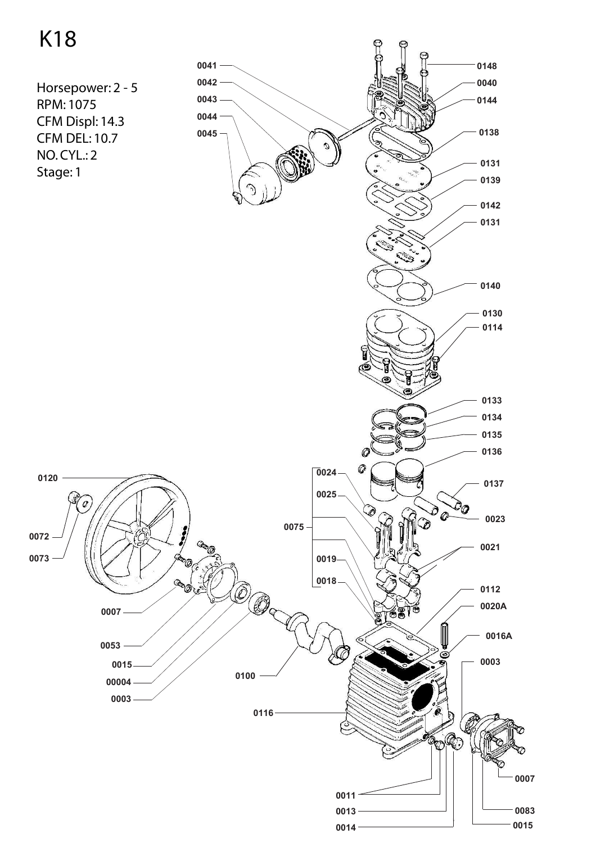## K18